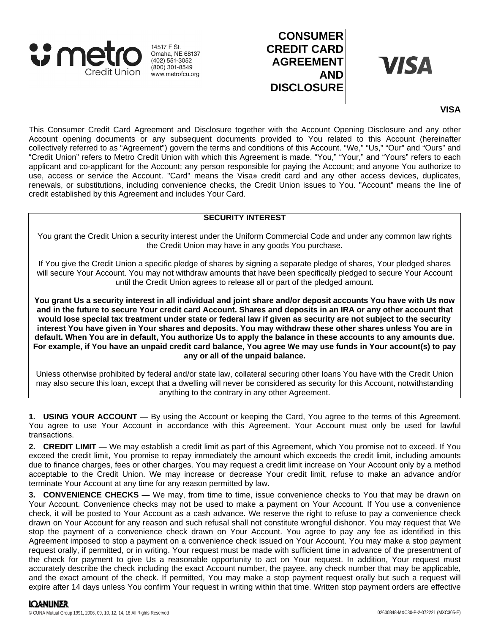

14517 F St. Omaha, NE 68137  $(402)$  551-3052  $(800)$  301-8549 www.metrofcu.org

# **CONSUMER CREDIT CARD AGREEMENT AND DISCLOSURE**

**VISA** 

## **VISA**

This Consumer Credit Card Agreement and Disclosure together with the Account Opening Disclosure and any other Account opening documents or any subsequent documents provided to You related to this Account (hereinafter collectively referred to as "Agreement") govern the terms and conditions of this Account. "We," "Us," "Our" and "Ours" and "Credit Union" refers to Metro Credit Union with which this Agreement is made. "You," "Your," and "Yours" refers to each applicant and co-applicant for the Account; any person responsible for paying the Account; and anyone You authorize to use, access or service the Account. "Card" means the Visa® credit card and any other access devices, duplicates, renewals, or substitutions, including convenience checks, the Credit Union issues to You. "Account" means the line of credit established by this Agreement and includes Your Card.

## **SECURITY INTEREST**

You grant the Credit Union a security interest under the Uniform Commercial Code and under any common law rights the Credit Union may have in any goods You purchase.

If You give the Credit Union a specific pledge of shares by signing a separate pledge of shares, Your pledged shares will secure Your Account. You may not withdraw amounts that have been specifically pledged to secure Your Account until the Credit Union agrees to release all or part of the pledged amount.

**You grant Us a security interest in all individual and joint share and/or deposit accounts You have with Us now and in the future to secure Your credit card Account. Shares and deposits in an IRA or any other account that would lose special tax treatment under state or federal law if given as security are not subject to the security interest You have given in Your shares and deposits. You may withdraw these other shares unless You are in default. When You are in default, You authorize Us to apply the balance in these accounts to any amounts due. For example, if You have an unpaid credit card balance, You agree We may use funds in Your account(s) to pay any or all of the unpaid balance.**

Unless otherwise prohibited by federal and/or state law, collateral securing other loans You have with the Credit Union may also secure this loan, except that a dwelling will never be considered as security for this Account, notwithstanding anything to the contrary in any other Agreement.

**1. USING YOUR ACCOUNT —** By using the Account or keeping the Card, You agree to the terms of this Agreement. You agree to use Your Account in accordance with this Agreement. Your Account must only be used for lawful transactions.

**2. CREDIT LIMIT —** We may establish a credit limit as part of this Agreement, which You promise not to exceed. If You exceed the credit limit, You promise to repay immediately the amount which exceeds the credit limit, including amounts due to finance charges, fees or other charges. You may request a credit limit increase on Your Account only by a method acceptable to the Credit Union. We may increase or decrease Your credit limit, refuse to make an advance and/or terminate Your Account at any time for any reason permitted by law.

**3. CONVENIENCE CHECKS —** We may, from time to time, issue convenience checks to You that may be drawn on Your Account. Convenience checks may not be used to make a payment on Your Account. If You use a convenience check, it will be posted to Your Account as a cash advance. We reserve the right to refuse to pay a convenience check drawn on Your Account for any reason and such refusal shall not constitute wrongful dishonor. You may request that We stop the payment of a convenience check drawn on Your Account. You agree to pay any fee as identified in this Agreement imposed to stop a payment on a convenience check issued on Your Account. You may make a stop payment request orally, if permitted, or in writing. Your request must be made with sufficient time in advance of the presentment of the check for payment to give Us a reasonable opportunity to act on Your request. In addition, Your request must accurately describe the check including the exact Account number, the payee, any check number that may be applicable, and the exact amount of the check. If permitted, You may make a stop payment request orally but such a request will expire after 14 days unless You confirm Your request in writing within that time. Written stop payment orders are effective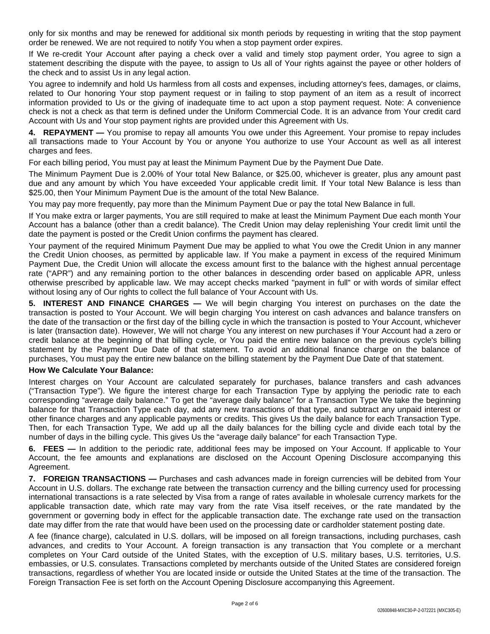only for six months and may be renewed for additional six month periods by requesting in writing that the stop payment order be renewed. We are not required to notify You when a stop payment order expires.

If We re-credit Your Account after paying a check over a valid and timely stop payment order, You agree to sign a statement describing the dispute with the payee, to assign to Us all of Your rights against the payee or other holders of the check and to assist Us in any legal action.

You agree to indemnify and hold Us harmless from all costs and expenses, including attorney's fees, damages, or claims, related to Our honoring Your stop payment request or in failing to stop payment of an item as a result of incorrect information provided to Us or the giving of inadequate time to act upon a stop payment request. Note: A convenience check is not a check as that term is defined under the Uniform Commercial Code. It is an advance from Your credit card Account with Us and Your stop payment rights are provided under this Agreement with Us.

**4. REPAYMENT —** You promise to repay all amounts You owe under this Agreement. Your promise to repay includes all transactions made to Your Account by You or anyone You authorize to use Your Account as well as all interest charges and fees.

For each billing period, You must pay at least the Minimum Payment Due by the Payment Due Date.

The Minimum Payment Due is 2.00% of Your total New Balance, or \$25.00, whichever is greater, plus any amount past due and any amount by which You have exceeded Your applicable credit limit. If Your total New Balance is less than \$25.00, then Your Minimum Payment Due is the amount of the total New Balance.

You may pay more frequently, pay more than the Minimum Payment Due or pay the total New Balance in full.

If You make extra or larger payments, You are still required to make at least the Minimum Payment Due each month Your Account has a balance (other than a credit balance). The Credit Union may delay replenishing Your credit limit until the date the payment is posted or the Credit Union confirms the payment has cleared.

Your payment of the required Minimum Payment Due may be applied to what You owe the Credit Union in any manner the Credit Union chooses, as permitted by applicable law. If You make a payment in excess of the required Minimum Payment Due, the Credit Union will allocate the excess amount first to the balance with the highest annual percentage rate ("APR") and any remaining portion to the other balances in descending order based on applicable APR, unless otherwise prescribed by applicable law. We may accept checks marked "payment in full" or with words of similar effect without losing any of Our rights to collect the full balance of Your Account with Us.

**5. INTEREST AND FINANCE CHARGES —** We will begin charging You interest on purchases on the date the transaction is posted to Your Account. We will begin charging You interest on cash advances and balance transfers on the date of the transaction or the first day of the billing cycle in which the transaction is posted to Your Account, whichever is later (transaction date). However, We will not charge You any interest on new purchases if Your Account had a zero or credit balance at the beginning of that billing cycle, or You paid the entire new balance on the previous cycle's billing statement by the Payment Due Date of that statement. To avoid an additional finance charge on the balance of purchases, You must pay the entire new balance on the billing statement by the Payment Due Date of that statement.

## **How We Calculate Your Balance:**

Interest charges on Your Account are calculated separately for purchases, balance transfers and cash advances ("Transaction Type"). We figure the interest charge for each Transaction Type by applying the periodic rate to each corresponding "average daily balance." To get the "average daily balance" for a Transaction Type We take the beginning balance for that Transaction Type each day, add any new transactions of that type, and subtract any unpaid interest or other finance charges and any applicable payments or credits. This gives Us the daily balance for each Transaction Type. Then, for each Transaction Type, We add up all the daily balances for the billing cycle and divide each total by the number of days in the billing cycle. This gives Us the "average daily balance" for each Transaction Type.

**6. FEES —** In addition to the periodic rate, additional fees may be imposed on Your Account. If applicable to Your Account, the fee amounts and explanations are disclosed on the Account Opening Disclosure accompanying this Agreement.

**7. FOREIGN TRANSACTIONS —** Purchases and cash advances made in foreign currencies will be debited from Your Account in U.S. dollars. The exchange rate between the transaction currency and the billing currency used for processing international transactions is a rate selected by Visa from a range of rates available in wholesale currency markets for the applicable transaction date, which rate may vary from the rate Visa itself receives, or the rate mandated by the government or governing body in effect for the applicable transaction date. The exchange rate used on the transaction date may differ from the rate that would have been used on the processing date or cardholder statement posting date.

A fee (finance charge), calculated in U.S. dollars, will be imposed on all foreign transactions, including purchases, cash advances, and credits to Your Account. A foreign transaction is any transaction that You complete or a merchant completes on Your Card outside of the United States, with the exception of U.S. military bases, U.S. territories, U.S. embassies, or U.S. consulates. Transactions completed by merchants outside of the United States are considered foreign transactions, regardless of whether You are located inside or outside the United States at the time of the transaction. The Foreign Transaction Fee is set forth on the Account Opening Disclosure accompanying this Agreement.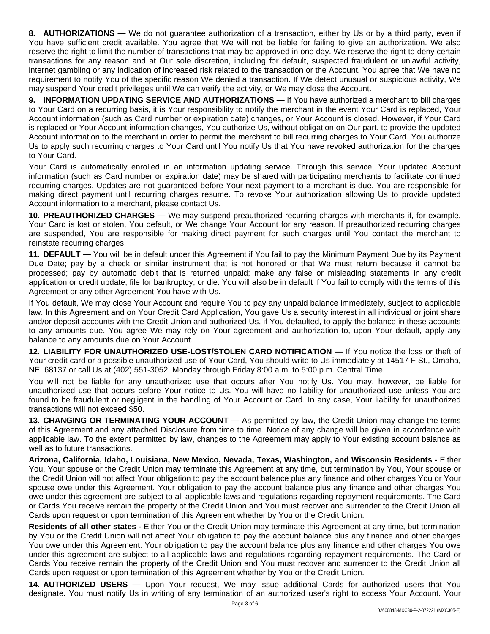**8. AUTHORIZATIONS —** We do not guarantee authorization of a transaction, either by Us or by a third party, even if You have sufficient credit available. You agree that We will not be liable for failing to give an authorization. We also reserve the right to limit the number of transactions that may be approved in one day. We reserve the right to deny certain transactions for any reason and at Our sole discretion, including for default, suspected fraudulent or unlawful activity, internet gambling or any indication of increased risk related to the transaction or the Account. You agree that We have no requirement to notify You of the specific reason We denied a transaction. If We detect unusual or suspicious activity, We may suspend Your credit privileges until We can verify the activity, or We may close the Account.

**9. INFORMATION UPDATING SERVICE AND AUTHORIZATIONS —** If You have authorized a merchant to bill charges to Your Card on a recurring basis, it is Your responsibility to notify the merchant in the event Your Card is replaced, Your Account information (such as Card number or expiration date) changes, or Your Account is closed. However, if Your Card is replaced or Your Account information changes, You authorize Us, without obligation on Our part, to provide the updated Account information to the merchant in order to permit the merchant to bill recurring charges to Your Card. You authorize Us to apply such recurring charges to Your Card until You notify Us that You have revoked authorization for the charges to Your Card.

Your Card is automatically enrolled in an information updating service. Through this service, Your updated Account information (such as Card number or expiration date) may be shared with participating merchants to facilitate continued recurring charges. Updates are not guaranteed before Your next payment to a merchant is due. You are responsible for making direct payment until recurring charges resume. To revoke Your authorization allowing Us to provide updated Account information to a merchant, please contact Us.

**10. PREAUTHORIZED CHARGES —** We may suspend preauthorized recurring charges with merchants if, for example, Your Card is lost or stolen, You default, or We change Your Account for any reason. If preauthorized recurring charges are suspended, You are responsible for making direct payment for such charges until You contact the merchant to reinstate recurring charges.

**11. DEFAULT —** You will be in default under this Agreement if You fail to pay the Minimum Payment Due by its Payment Due Date; pay by a check or similar instrument that is not honored or that We must return because it cannot be processed; pay by automatic debit that is returned unpaid; make any false or misleading statements in any credit application or credit update; file for bankruptcy; or die. You will also be in default if You fail to comply with the terms of this Agreement or any other Agreement You have with Us.

If You default, We may close Your Account and require You to pay any unpaid balance immediately, subject to applicable law. In this Agreement and on Your Credit Card Application, You gave Us a security interest in all individual or joint share and/or deposit accounts with the Credit Union and authorized Us, if You defaulted, to apply the balance in these accounts to any amounts due. You agree We may rely on Your agreement and authorization to, upon Your default, apply any balance to any amounts due on Your Account.

**12. LIABILITY FOR UNAUTHORIZED USE-LOST/STOLEN CARD NOTIFICATION —** If You notice the loss or theft of Your credit card or a possible unauthorized use of Your Card, You should write to Us immediately at 14517 F St., Omaha, NE, 68137 or call Us at (402) 551-3052, Monday through Friday 8:00 a.m. to 5:00 p.m. Central Time.

You will not be liable for any unauthorized use that occurs after You notify Us. You may, however, be liable for unauthorized use that occurs before Your notice to Us. You will have no liability for unauthorized use unless You are found to be fraudulent or negligent in the handling of Your Account or Card. In any case, Your liability for unauthorized transactions will not exceed \$50.

**13. CHANGING OR TERMINATING YOUR ACCOUNT —** As permitted by law, the Credit Union may change the terms of this Agreement and any attached Disclosure from time to time. Notice of any change will be given in accordance with applicable law. To the extent permitted by law, changes to the Agreement may apply to Your existing account balance as well as to future transactions.

**Arizona, California, Idaho, Louisiana, New Mexico, Nevada, Texas, Washington, and Wisconsin Residents -** Either You, Your spouse or the Credit Union may terminate this Agreement at any time, but termination by You, Your spouse or the Credit Union will not affect Your obligation to pay the account balance plus any finance and other charges You or Your spouse owe under this Agreement. Your obligation to pay the account balance plus any finance and other charges You owe under this agreement are subject to all applicable laws and regulations regarding repayment requirements. The Card or Cards You receive remain the property of the Credit Union and You must recover and surrender to the Credit Union all Cards upon request or upon termination of this Agreement whether by You or the Credit Union.

**Residents of all other states -** Either You or the Credit Union may terminate this Agreement at any time, but termination by You or the Credit Union will not affect Your obligation to pay the account balance plus any finance and other charges You owe under this Agreement. Your obligation to pay the account balance plus any finance and other charges You owe under this agreement are subject to all applicable laws and regulations regarding repayment requirements. The Card or Cards You receive remain the property of the Credit Union and You must recover and surrender to the Credit Union all Cards upon request or upon termination of this Agreement whether by You or the Credit Union.

**14. AUTHORIZED USERS —** Upon Your request, We may issue additional Cards for authorized users that You designate. You must notify Us in writing of any termination of an authorized user's right to access Your Account. Your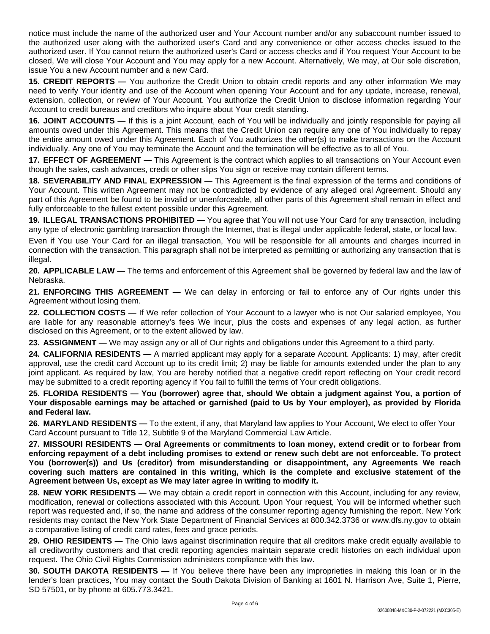notice must include the name of the authorized user and Your Account number and/or any subaccount number issued to the authorized user along with the authorized user's Card and any convenience or other access checks issued to the authorized user. If You cannot return the authorized user's Card or access checks and if You request Your Account to be closed, We will close Your Account and You may apply for a new Account. Alternatively, We may, at Our sole discretion, issue You a new Account number and a new Card.

**15. CREDIT REPORTS —** You authorize the Credit Union to obtain credit reports and any other information We may need to verify Your identity and use of the Account when opening Your Account and for any update, increase, renewal, extension, collection, or review of Your Account. You authorize the Credit Union to disclose information regarding Your Account to credit bureaus and creditors who inquire about Your credit standing.

**16. JOINT ACCOUNTS —** If this is a joint Account, each of You will be individually and jointly responsible for paying all amounts owed under this Agreement. This means that the Credit Union can require any one of You individually to repay the entire amount owed under this Agreement. Each of You authorizes the other(s) to make transactions on the Account individually. Any one of You may terminate the Account and the termination will be effective as to all of You.

**17. EFFECT OF AGREEMENT —** This Agreement is the contract which applies to all transactions on Your Account even though the sales, cash advances, credit or other slips You sign or receive may contain different terms.

**18. SEVERABILITY AND FINAL EXPRESSION —** This Agreement is the final expression of the terms and conditions of Your Account. This written Agreement may not be contradicted by evidence of any alleged oral Agreement. Should any part of this Agreement be found to be invalid or unenforceable, all other parts of this Agreement shall remain in effect and fully enforceable to the fullest extent possible under this Agreement.

**19. ILLEGAL TRANSACTIONS PROHIBITED —** You agree that You will not use Your Card for any transaction, including any type of electronic gambling transaction through the Internet, that is illegal under applicable federal, state, or local law.

Even if You use Your Card for an illegal transaction, You will be responsible for all amounts and charges incurred in connection with the transaction. This paragraph shall not be interpreted as permitting or authorizing any transaction that is illegal.

**20. APPLICABLE LAW —** The terms and enforcement of this Agreement shall be governed by federal law and the law of Nebraska.

**21. ENFORCING THIS AGREEMENT —** We can delay in enforcing or fail to enforce any of Our rights under this Agreement without losing them.

**22. COLLECTION COSTS —** If We refer collection of Your Account to a lawyer who is not Our salaried employee, You are liable for any reasonable attorney's fees We incur, plus the costs and expenses of any legal action, as further disclosed on this Agreement, or to the extent allowed by law.

**23. ASSIGNMENT —** We may assign any or all of Our rights and obligations under this Agreement to a third party.

**24. CALIFORNIA RESIDENTS —** A married applicant may apply for a separate Account. Applicants: 1) may, after credit approval, use the credit card Account up to its credit limit; 2) may be liable for amounts extended under the plan to any joint applicant. As required by law, You are hereby notified that a negative credit report reflecting on Your credit record may be submitted to a credit reporting agency if You fail to fulfill the terms of Your credit obligations.

25. FLORIDA RESIDENTS — You (borrower) agree that, should We obtain a judgment against You, a portion of Your disposable earnings may be attached or garnished (paid to Us by Your employer), as provided by Florida **and Federal law.**

**26. MARYLAND RESIDENTS —** To the extent, if any, that Maryland law applies to Your Account, We elect to offer Your Card Account pursuant to Title 12, Subtitle 9 of the Maryland Commercial Law Article.

**27. MISSOURI RESIDENTS — Oral Agreements or commitments to loan money, extend credit or to forbear from** enforcing repayment of a debt including promises to extend or renew such debt are not enforceable. To protect **You (borrower(s)) and Us (creditor) from misunderstanding or disappointment, any Agreements We reach covering such matters are contained in this writing, which is the complete and exclusive statement of the Agreement between Us, except as We may later agree in writing to modify it.**

**28. NEW YORK RESIDENTS —** We may obtain a credit report in connection with this Account, including for any review, modification, renewal or collections associated with this Account. Upon Your request, You will be informed whether such report was requested and, if so, the name and address of the consumer reporting agency furnishing the report. New York residents may contact the New York State Department of Financial Services at 800.342.3736 or www.dfs.ny.gov to obtain a comparative listing of credit card rates, fees and grace periods.

**29. OHIO RESIDENTS** — The Ohio laws against discrimination require that all creditors make credit equally available to all creditworthy customers and that credit reporting agencies maintain separate credit histories on each individual upon request. The Ohio Civil Rights Commission administers compliance with this law.

**30. SOUTH DAKOTA RESIDENTS —** If You believe there have been any improprieties in making this loan or in the lender's loan practices, You may contact the South Dakota Division of Banking at 1601 N. Harrison Ave, Suite 1, Pierre, SD 57501, or by phone at 605.773.3421.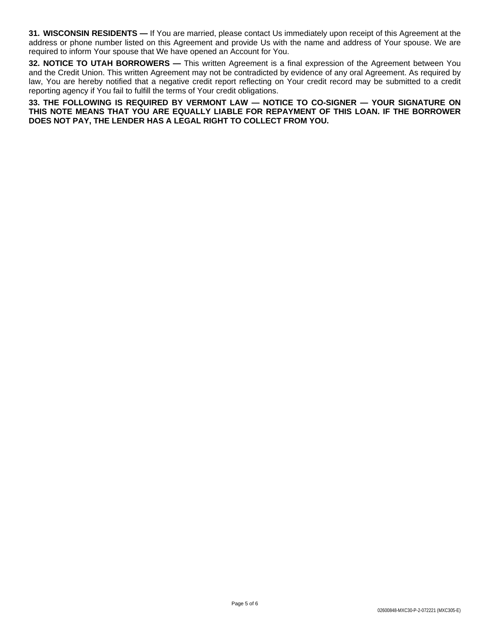**31. WISCONSIN RESIDENTS —** If You are married, please contact Us immediately upon receipt of this Agreement at the address or phone number listed on this Agreement and provide Us with the name and address of Your spouse. We are required to inform Your spouse that We have opened an Account for You.

**32. NOTICE TO UTAH BORROWERS —** This written Agreement is a final expression of the Agreement between You and the Credit Union. This written Agreement may not be contradicted by evidence of any oral Agreement. As required by law, You are hereby notified that a negative credit report reflecting on Your credit record may be submitted to a credit reporting agency if You fail to fulfill the terms of Your credit obligations.

**33. THE FOLLOWING IS REQUIRED BY VERMONT LAW — NOTICE TO CO-SIGNER — YOUR SIGNATURE ON THIS NOTE MEANS THAT YOU ARE EQUALLY LIABLE FOR REPAYMENT OF THIS LOAN. IF THE BORROWER DOES NOT PAY, THE LENDER HAS A LEGAL RIGHT TO COLLECT FROM YOU.**